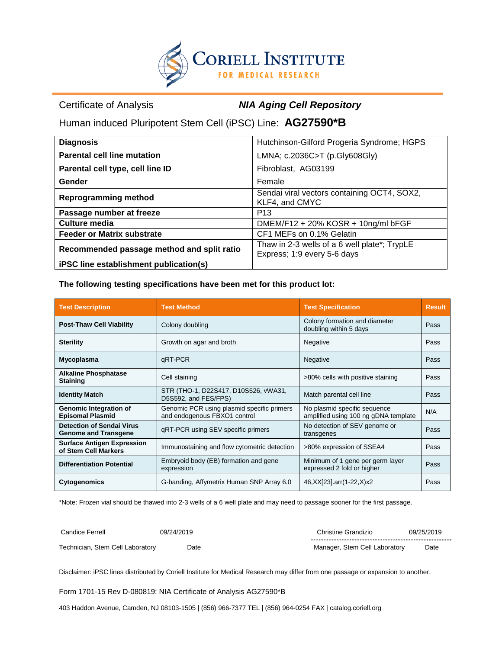

Certificate of Analysis *NIA Aging Cell Repository*

Human induced Pluripotent Stem Cell (iPSC) Line: **AG27590\*B**

| <b>Diagnosis</b>                           | Hutchinson-Gilford Progeria Syndrome; HGPS                    |  |
|--------------------------------------------|---------------------------------------------------------------|--|
| <b>Parental cell line mutation</b>         | LMNA; c.2036C>T (p.Gly608Gly)                                 |  |
| Parental cell type, cell line ID           | Fibroblast, AG03199                                           |  |
| Gender                                     | Female                                                        |  |
| <b>Reprogramming method</b>                | Sendai viral vectors containing OCT4, SOX2,<br>KLF4, and CMYC |  |
| Passage number at freeze                   | P <sub>13</sub>                                               |  |
| Culture media                              | DMEM/F12 + 20% KOSR + 10ng/ml bFGF                            |  |
| <b>Feeder or Matrix substrate</b>          | CF1 MEFs on 0.1% Gelatin                                      |  |
| Recommended passage method and split ratio | Thaw in 2-3 wells of a 6 well plate*; TrypLE                  |  |
|                                            | Express; 1:9 every 5-6 days                                   |  |
| iPSC line establishment publication(s)     |                                                               |  |

**The following testing specifications have been met for this product lot:**

| <b>Test Description</b>                                         | <b>Test Method</b>                                                         | <b>Test Specification</b>                                              | <b>Result</b> |
|-----------------------------------------------------------------|----------------------------------------------------------------------------|------------------------------------------------------------------------|---------------|
| <b>Post-Thaw Cell Viability</b>                                 | Colony formation and diameter<br>Colony doubling<br>doubling within 5 days |                                                                        | Pass          |
| <b>Sterility</b>                                                | Growth on agar and broth<br>Negative                                       |                                                                        | Pass          |
| Mycoplasma                                                      | qRT-PCR                                                                    | Negative                                                               |               |
| <b>Alkaline Phosphatase</b><br><b>Staining</b>                  | Cell staining                                                              | >80% cells with positive staining                                      |               |
| <b>Identity Match</b>                                           | STR (THO-1, D22S417, D10S526, vWA31,<br>D5S592, and FES/FPS)               | Match parental cell line                                               |               |
| <b>Genomic Integration of</b><br><b>Episomal Plasmid</b>        | Genomic PCR using plasmid specific primers<br>and endogenous FBXO1 control | No plasmid specific sequence<br>amplified using 100 ng gDNA template   |               |
| <b>Detection of Sendai Virus</b><br><b>Genome and Transgene</b> | gRT-PCR using SEV specific primers                                         | No detection of SEV genome or<br>transgenes                            |               |
| <b>Surface Antigen Expression</b><br>of Stem Cell Markers       | Immunostaining and flow cytometric detection                               | >80% expression of SSEA4                                               |               |
| <b>Differentiation Potential</b>                                | Embryoid body (EB) formation and gene<br>expression                        | Minimum of 1 gene per germ layer<br>Pass<br>expressed 2 fold or higher |               |
| <b>Cytogenomics</b>                                             | G-banding, Affymetrix Human SNP Array 6.0                                  | 46, XX[23] arr(1-22, X) x2<br>Pass                                     |               |

\*Note: Frozen vial should be thawed into 2-3 wells of a 6 well plate and may need to passage sooner for the first passage.

| Candice Ferrell                  | 09/24/2019 | 09/25/2019<br>Christine Grandizio |      |  |
|----------------------------------|------------|-----------------------------------|------|--|
| Technician, Stem Cell Laboratory | Date       | Manager, Stem Cell Laboratory     | Date |  |

Disclaimer: iPSC lines distributed by Coriell Institute for Medical Research may differ from one passage or expansion to another.

Form 1701-15 Rev D-080819: NIA Certificate of Analysis AG27590\*B

403 Haddon Avenue, Camden, NJ 08103-1505 | (856) 966-7377 TEL | (856) 964-0254 FAX | catalog.coriell.org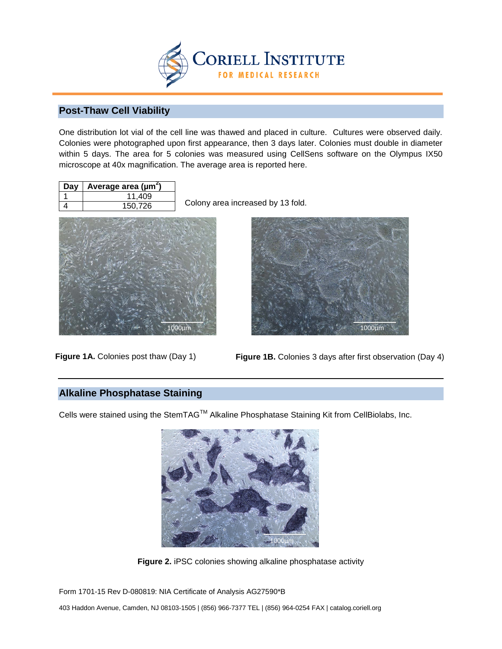

## **Post-Thaw Cell Viability**

One distribution lot vial of the cell line was thawed and placed in culture. Cultures were observed daily. Colonies were photographed upon first appearance, then 3 days later. Colonies must double in diameter within 5 days. The area for 5 colonies was measured using CellSens software on the Olympus IX50 microscope at 40x magnification. The average area is reported here.

| Day | Average area ( $\mu$ m <sup>2</sup> ) |
|-----|---------------------------------------|
|     | 11.409                                |
|     | 150,726                               |

Colony area increased by 13 fold.



Figure 1A. Colonies post thaw (Day 1)



**Figure 1B.** Colonies 3 days after first observation (Day 4)

## **Alkaline Phosphatase Staining**

Cells were stained using the StemTAG™ Alkaline Phosphatase Staining Kit from CellBiolabs, Inc.



**Figure 2.** iPSC colonies showing alkaline phosphatase activity

Form 1701-15 Rev D-080819: NIA Certificate of Analysis AG27590\*B

403 Haddon Avenue, Camden, NJ 08103-1505 | (856) 966-7377 TEL | (856) 964-0254 FAX | catalog.coriell.org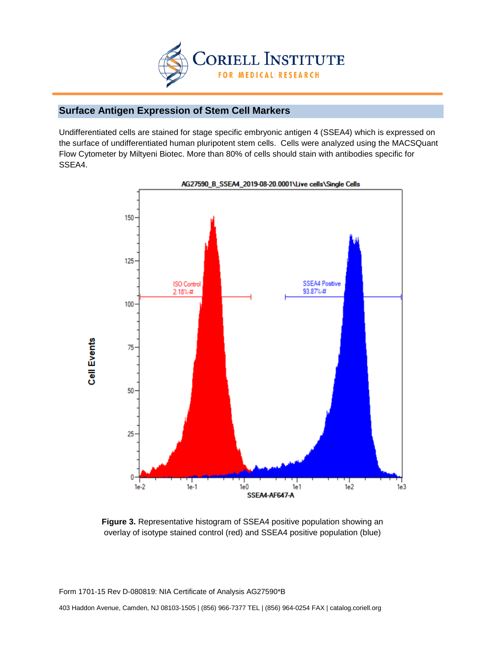

# **Surface Antigen Expression of Stem Cell Markers**

Undifferentiated cells are stained for stage specific embryonic antigen 4 (SSEA4) which is expressed on the surface of undifferentiated human pluripotent stem cells. Cells were analyzed using the MACSQuant Flow Cytometer by Miltyeni Biotec. More than 80% of cells should stain with antibodies specific for SSEA4.



AG27590\_B\_SSEA4\_2019-08-20.0001\Live cells\Single Cells

**Figure 3.** Representative histogram of SSEA4 positive population showing an overlay of isotype stained control (red) and SSEA4 positive population (blue)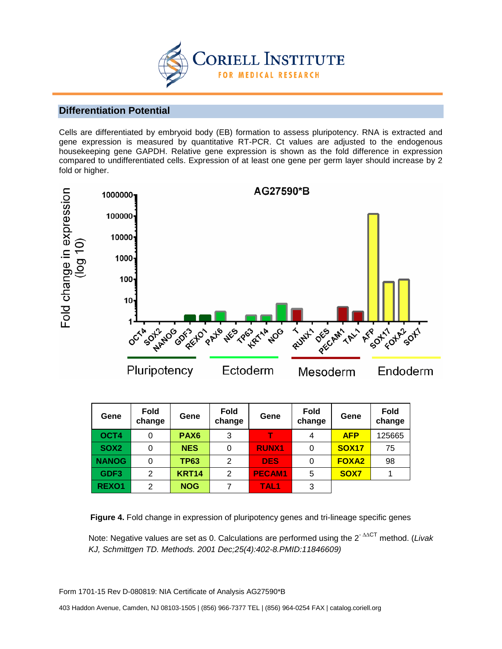

#### **Differentiation Potential**

Cells are differentiated by embryoid body (EB) formation to assess pluripotency. RNA is extracted and gene expression is measured by quantitative RT-PCR. Ct values are adjusted to the endogenous housekeeping gene GAPDH. Relative gene expression is shown as the fold difference in expression compared to undifferentiated cells. Expression of at least one gene per germ layer should increase by 2 fold or higher.



| Gene             | <b>Fold</b><br>change | Gene             | <b>Fold</b><br>change | Gene             | <b>Fold</b><br>change | Gene         | Fold<br>change |
|------------------|-----------------------|------------------|-----------------------|------------------|-----------------------|--------------|----------------|
| OCT4             | 0                     | PAX <sub>6</sub> | 3                     |                  | 4                     | <b>AFP</b>   | 125665         |
| SOX <sub>2</sub> | 0                     | <b>NES</b>       | 0                     | <b>RUNX1</b>     | 0                     | <b>SOX17</b> | 75             |
| <b>NANOG</b>     |                       | <b>TP63</b>      | 2                     | <b>DES</b>       |                       | <b>FOXA2</b> | 98             |
| GDF3             | 2                     | <b>KRT14</b>     | 2                     | <b>PECAM1</b>    | 5                     | SOX7         |                |
| REXO1            | 2                     | <b>NOG</b>       |                       | TAL <sub>1</sub> | 3                     |              |                |

**Figure 4.** Fold change in expression of pluripotency genes and tri-lineage specific genes

Note: Negative values are set as 0. Calculations are performed using the 2- ∆∆CT method. (*Livak KJ, Schmittgen TD. Methods. 2001 Dec;25(4):402-8.PMID:11846609)*